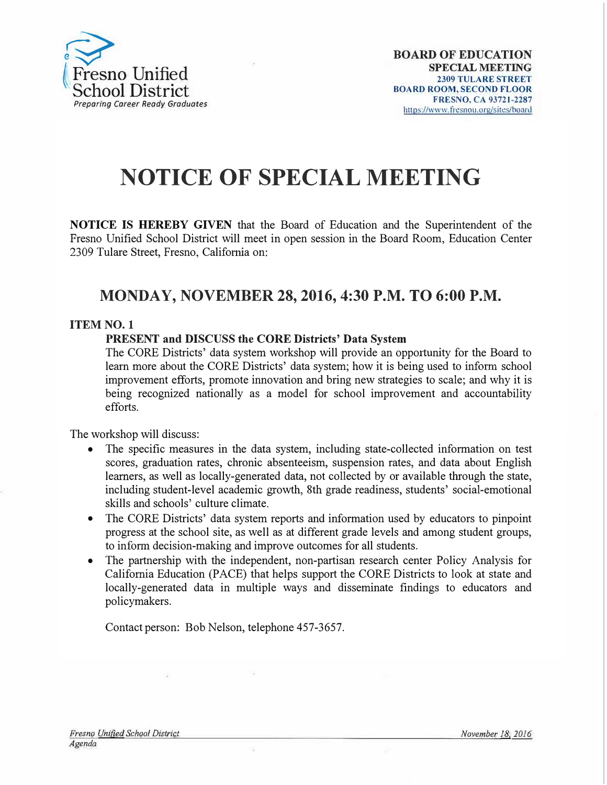

# **NOTICE OF SPECIAL MEETING**

**NOTICE IS HEREBY GIVEN** that the Board of Education and the Superintendent of the Fresno Unified School District will meet in open session in the Board Room, Education Center 2309 Tulare Street, Fresno, California on:

## **MONDAY, NOVEMBER 28, 2016, 4:30 P.M. TO 6:00 P.M.**

### **ITEM NO. 1**

#### **PRESENT and DISCUSS the CORE Districts' Data System**

The CORE Districts' data system workshop will provide an opportunity for the Board to learn more about the CORE Districts' data system; how it is being used to inform school improvement efforts, promote innovation and bring new strategies to scale; and why it is being recognized nationally as a model for school improvement and accountability efforts.

The workshop will discuss:

- The specific measures in the data system, including state-collected information on test scores, graduation rates, chronic absenteeism, suspension rates, and data about English learners, as well as locally-generated data, not collected by or available through the state, including student-level academic growth, 8th grade readiness, students' social-emotional skills and schools' culture climate.
- The CORE Districts' data system reports and information used by educators to pinpoint progress at the school site, as well as at different grade levels and among student groups, to inform decision-making and improve outcomes for all students.
- The partnership with the independent, non-partisan research center Policy Analysis for California Education (PACE) that helps support the CORE Districts to look at state and locally-generated data in multiple ways and disseminate findings to educators and policymakers.

Contact person: Bob Nelson, telephone 457-3657.

ų